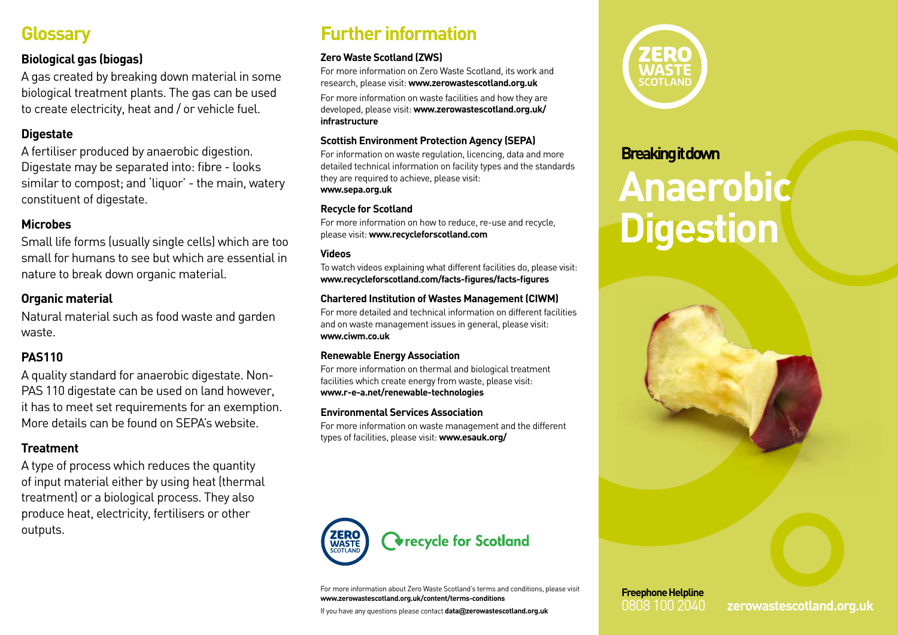## **Glossary**

#### **Biological gas (biogas)**

A gas created by breaking down material in some biological treatment plants. The gas can be used to create electricity, heat and / or vehicle fuel.

#### **Digestate**

A fertiliser produced by anaerobic digestion. Digestate may be separated into: fibre - looks similar to compost; and 'liquor' - the main, watery constituent of digestate.

#### **Microbes**

Small life forms (usually single cells) which are too small for humans to see but which are essential in nature to break down organic material.

#### **Organic material**

Natural material such as food waste and garden waste.

#### **PAS110**

A quality standard for anaerobic digestate. Non-PAS 110 digestate can be used on land however, it has to meet set requirements for an exemption. More details can be found on SEPA's website.

#### **Treatment**

A type of process which reduces the quantity of input material either by using heat (thermal treatment) or a biological process. They also produce heat, electricity, fertilisers or other outputs.

# **Further information**

#### **Zero Waste Scotland (ZWS)**

For more information on Zero Waste Scotland, its work and research, please visit: **www.zerowastescotland.org.uk**

For more information on waste facilities and how they are developed, please visit: **www.zerowastescotland.org.uk/ infrastructure**

#### **Scottish Environment Protection Agency (SEPA)**

For information on waste regulation, licencing, data and more detailed technical information on facility types and the standards they are required to achieve, please visit: **www.sepa.org.uk**

### **Recycle for Scotland**

For more information on how to reduce, re-use and recycle, please visit: **www.recycleforscotland.com** 

#### **Videos**

To watch videos explaining what different facilities do, please visit: **www.recycleforscotland.com/facts-figures/facts-figures**

#### **Chartered Institution of Wastes Management (CIWM)**

For more detailed and technical information on different facilities and on waste management issues in general, please visit: **www.ciwm.co.uk**

#### **Renewable Energy Association**

For more information on thermal and biological treatment facilities which create energy from waste, please visit: **www.r-e-a.net/renewable-technologies**

#### **Environmental Services Association**

For more information on waste management and the different types of facilities, please visit: **www.esauk.org/**



For more information about Zero Waste Scotland's terms and conditions, please visit **www.zerowastescotland.org.uk/content/terms-conditions**

If you have any questions please contact **data@zerowastescotland.org.uk**



## **Breaking it down**

# **Anaerobic Digestion**



0808 100 2040 **zerowastescotland.org.uk**